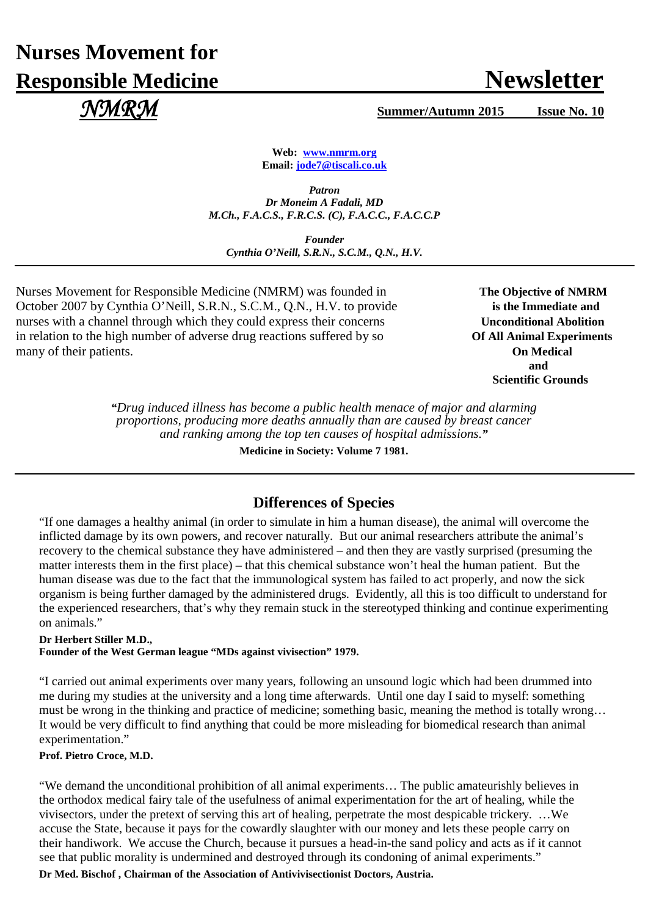# **Nurses Movement for Responsible Medicine Newsletter** Newsletter  *NMRM* **Summer/Autumn 2015 Issue No. 10**

**Web: [www.nmrm.org](http://www.nmrm.org/) Email: [jode7@tiscali.co.uk](mailto:jode7@tiscali.co.uk)**

*Patron Dr Moneim A Fadali, MD M.Ch., F.A.C.S., F.R.C.S. (C), F.A.C.C., F.A.C.C.P*

*Founder Cynthia O'Neill, S.R.N., S.C.M., Q.N., H.V.*

Nurses Movement for Responsible Medicine (NMRM) was founded in The Objective of NMRM October 2007 by Cynthia O'Neill, S.R.N., S.C.M., Q.N., H.V. to provide **is the Immediate and** nurses with a channel through which they could express their concerns **Unconditional Abolition** in relation to the high number of adverse drug reactions suffered by so **Of All Animal Experiments** many of their patients. **On Medical**

**and and and** *and* **Scientific Grounds**

> *"Drug induced illness has become a public health menace of major and alarming proportions, producing more deaths annually than are caused by breast cancer and ranking among the top ten causes of hospital admissions."*

> > **Medicine in Society: Volume 7 1981.**

# **Differences of Species**

"If one damages a healthy animal (in order to simulate in him a human disease), the animal will overcome the inflicted damage by its own powers, and recover naturally. But our animal researchers attribute the animal's recovery to the chemical substance they have administered – and then they are vastly surprised (presuming the matter interests them in the first place) – that this chemical substance won't heal the human patient. But the human disease was due to the fact that the immunological system has failed to act properly, and now the sick organism is being further damaged by the administered drugs. Evidently, all this is too difficult to understand for the experienced researchers, that's why they remain stuck in the stereotyped thinking and continue experimenting on animals."

#### **Dr Herbert Stiller M.D.,**

**Founder of the West German league "MDs against vivisection" 1979.**

"I carried out animal experiments over many years, following an unsound logic which had been drummed into me during my studies at the university and a long time afterwards. Until one day I said to myself: something must be wrong in the thinking and practice of medicine; something basic, meaning the method is totally wrong… It would be very difficult to find anything that could be more misleading for biomedical research than animal experimentation."

## **Prof. Pietro Croce, M.D.**

"We demand the unconditional prohibition of all animal experiments… The public amateurishly believes in the orthodox medical fairy tale of the usefulness of animal experimentation for the art of healing, while the vivisectors, under the pretext of serving this art of healing, perpetrate the most despicable trickery. …We accuse the State, because it pays for the cowardly slaughter with our money and lets these people carry on their handiwork. We accuse the Church, because it pursues a head-in-the sand policy and acts as if it cannot see that public morality is undermined and destroyed through its condoning of animal experiments."

**Dr Med. Bischof , Chairman of the Association of Antivivisectionist Doctors, Austria.**